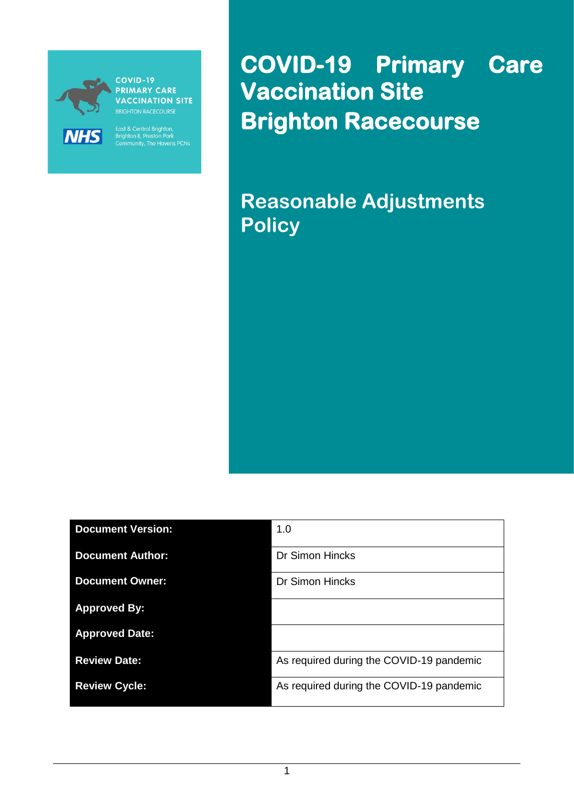

**PRIMARY CARE VACCINATION SITE** 

East & Central Brighton,<br>Brighton II, Preston Park<br>Community, The Havens PCNs

**COVID-19 Primary Care Vaccination Site Brighton Racecourse** 

**Reasonable Adjustments Policy**

| <b>Document Version:</b> | 1.0                                      |
|--------------------------|------------------------------------------|
| <b>Document Author:</b>  | <b>Dr Simon Hincks</b>                   |
| <b>Document Owner:</b>   | <b>Dr Simon Hincks</b>                   |
| <b>Approved By:</b>      |                                          |
| <b>Approved Date:</b>    |                                          |
| <b>Review Date:</b>      | As required during the COVID-19 pandemic |
| <b>Review Cycle:</b>     | As required during the COVID-19 pandemic |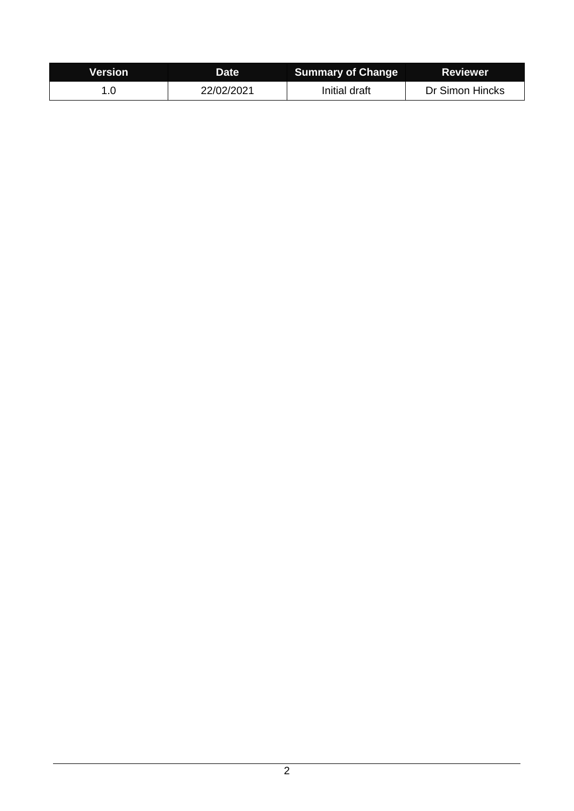| <b>Version</b> | Date       | <b>Summary of Change</b> | <b>Reviewer</b> |
|----------------|------------|--------------------------|-----------------|
|                | 22/02/2021 | Initial draft            | Dr Simon Hincks |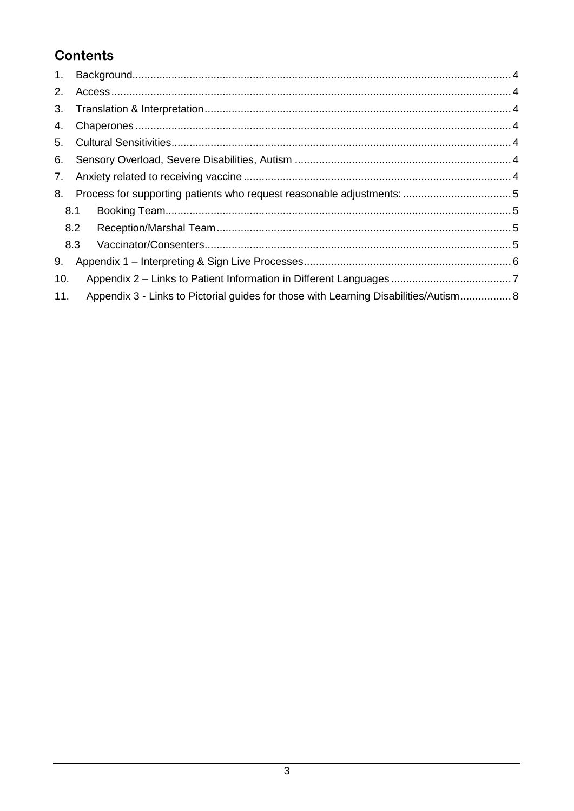# **Contents**

| $1_{\cdot}$ |                                                                                      |  |
|-------------|--------------------------------------------------------------------------------------|--|
| 2.          |                                                                                      |  |
| 3.          |                                                                                      |  |
| 4.          |                                                                                      |  |
| 5.          |                                                                                      |  |
| 6.          |                                                                                      |  |
| 7.          |                                                                                      |  |
| 8.          |                                                                                      |  |
|             | 8.1                                                                                  |  |
|             | 8.2                                                                                  |  |
|             | 8.3                                                                                  |  |
| 9.          |                                                                                      |  |
| 10.         |                                                                                      |  |
| 11.         | Appendix 3 - Links to Pictorial guides for those with Learning Disabilities/Autism 8 |  |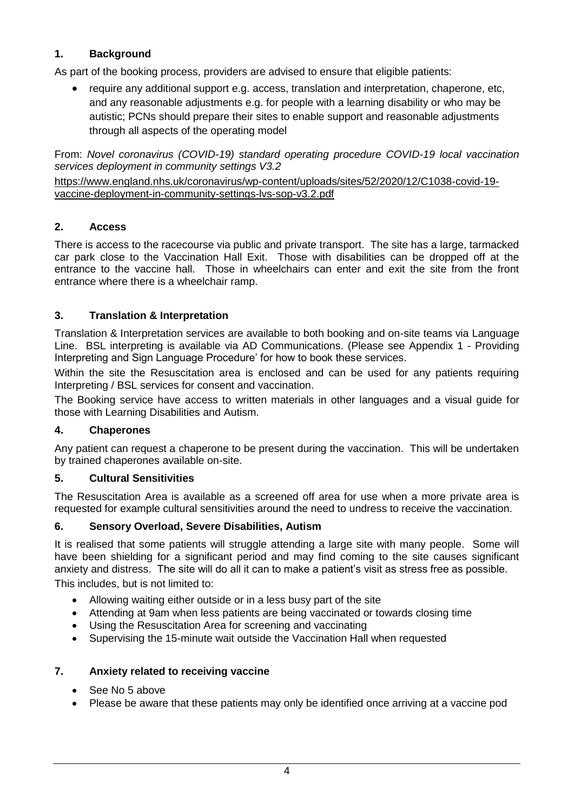# <span id="page-3-0"></span>**1. Background**

As part of the booking process, providers are advised to ensure that eligible patients:

 require any additional support e.g. access, translation and interpretation, chaperone, etc, and any reasonable adjustments e.g. for people with a learning disability or who may be autistic; PCNs should prepare their sites to enable support and reasonable adjustments through all aspects of the operating model

From: *Novel coronavirus (COVID-19) standard operating procedure COVID-19 local vaccination services deployment in community settings V3.2*

[https://www.england.nhs.uk/coronavirus/wp-content/uploads/sites/52/2020/12/C1038-covid-19](https://www.england.nhs.uk/coronavirus/wp-content/uploads/sites/52/2020/12/C1038-covid-19-vaccine-deployment-in-community-settings-lvs-sop-v3.2.pdf) [vaccine-deployment-in-community-settings-lvs-sop-v3.2.pdf](https://www.england.nhs.uk/coronavirus/wp-content/uploads/sites/52/2020/12/C1038-covid-19-vaccine-deployment-in-community-settings-lvs-sop-v3.2.pdf)

## <span id="page-3-1"></span>**2. Access**

There is access to the racecourse via public and private transport. The site has a large, tarmacked car park close to the Vaccination Hall Exit. Those with disabilities can be dropped off at the entrance to the vaccine hall. Those in wheelchairs can enter and exit the site from the front entrance where there is a wheelchair ramp.

# <span id="page-3-2"></span>**3. Translation & Interpretation**

Translation & Interpretation services are available to both booking and on-site teams via Language Line. BSL interpreting is available via AD Communications. (Please see Appendix 1 - Providing Interpreting and Sign Language Procedure' for how to book these services.

Within the site the Resuscitation area is enclosed and can be used for any patients requiring Interpreting / BSL services for consent and vaccination.

The Booking service have access to written materials in other languages and a visual guide for those with Learning Disabilities and Autism.

#### <span id="page-3-3"></span>**4. Chaperones**

Any patient can request a chaperone to be present during the vaccination. This will be undertaken by trained chaperones available on-site.

#### <span id="page-3-4"></span>**5. Cultural Sensitivities**

The Resuscitation Area is available as a screened off area for use when a more private area is requested for example cultural sensitivities around the need to undress to receive the vaccination.

#### <span id="page-3-5"></span>**6. Sensory Overload, Severe Disabilities, Autism**

It is realised that some patients will struggle attending a large site with many people. Some will have been shielding for a significant period and may find coming to the site causes significant anxiety and distress. The site will do all it can to make a patient's visit as stress free as possible.

This includes, but is not limited to:

- Allowing waiting either outside or in a less busy part of the site
- Attending at 9am when less patients are being vaccinated or towards closing time
- Using the Resuscitation Area for screening and vaccinating
- Supervising the 15-minute wait outside the Vaccination Hall when requested

#### <span id="page-3-6"></span>**7. Anxiety related to receiving vaccine**

- See No 5 above
- Please be aware that these patients may only be identified once arriving at a vaccine pod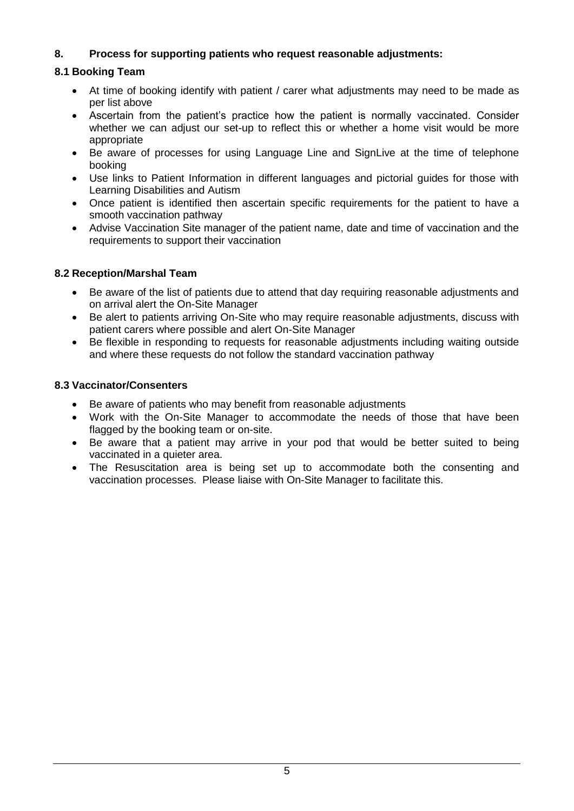# <span id="page-4-0"></span>**8. Process for supporting patients who request reasonable adjustments:**

## <span id="page-4-1"></span>**8.1 Booking Team**

- At time of booking identify with patient / carer what adjustments may need to be made as per list above
- Ascertain from the patient's practice how the patient is normally vaccinated. Consider whether we can adjust our set-up to reflect this or whether a home visit would be more appropriate
- Be aware of processes for using Language Line and SignLive at the time of telephone booking
- Use links to Patient Information in different languages and pictorial guides for those with Learning Disabilities and Autism
- Once patient is identified then ascertain specific requirements for the patient to have a smooth vaccination pathway
- Advise Vaccination Site manager of the patient name, date and time of vaccination and the requirements to support their vaccination

# <span id="page-4-2"></span>**8.2 Reception/Marshal Team**

- Be aware of the list of patients due to attend that day requiring reasonable adjustments and on arrival alert the On-Site Manager
- Be alert to patients arriving On-Site who may require reasonable adjustments, discuss with patient carers where possible and alert On-Site Manager
- Be flexible in responding to requests for reasonable adjustments including waiting outside and where these requests do not follow the standard vaccination pathway

#### <span id="page-4-3"></span>**8.3 Vaccinator/Consenters**

- Be aware of patients who may benefit from reasonable adjustments
- Work with the On-Site Manager to accommodate the needs of those that have been flagged by the booking team or on-site.
- Be aware that a patient may arrive in your pod that would be better suited to being vaccinated in a quieter area.
- The Resuscitation area is being set up to accommodate both the consenting and vaccination processes. Please liaise with On-Site Manager to facilitate this.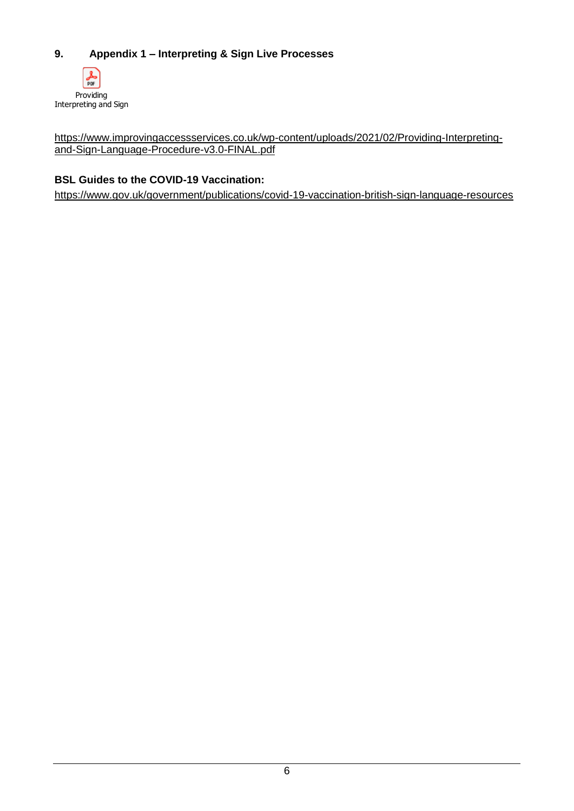# <span id="page-5-0"></span>**9. Appendix 1 – Interpreting & Sign Live Processes**



[https://www.improvingaccessservices.co.uk/wp-content/uploads/2021/02/Providing-Interpreting](https://www.improvingaccessservices.co.uk/wp-content/uploads/2021/02/Providing-Interpreting-and-Sign-Language-Procedure-v3.0-FINAL.pdf)[and-Sign-Language-Procedure-v3.0-FINAL.pdf](https://www.improvingaccessservices.co.uk/wp-content/uploads/2021/02/Providing-Interpreting-and-Sign-Language-Procedure-v3.0-FINAL.pdf)

## **BSL Guides to the COVID-19 Vaccination:**

<https://www.gov.uk/government/publications/covid-19-vaccination-british-sign-language-resources>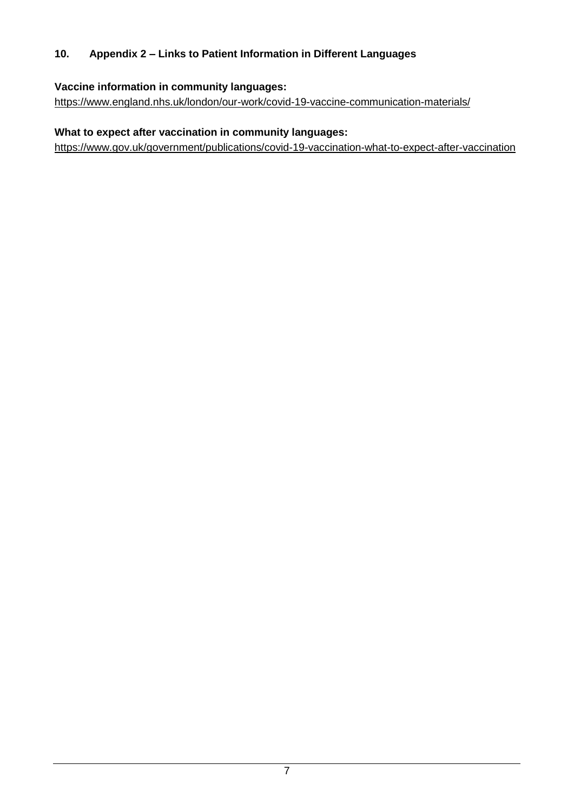# <span id="page-6-0"></span>**10. Appendix 2 – Links to Patient Information in Different Languages**

# **Vaccine information in community languages:**

<https://www.england.nhs.uk/london/our-work/covid-19-vaccine-communication-materials/>

# **What to expect after vaccination in community languages:**

<https://www.gov.uk/government/publications/covid-19-vaccination-what-to-expect-after-vaccination>